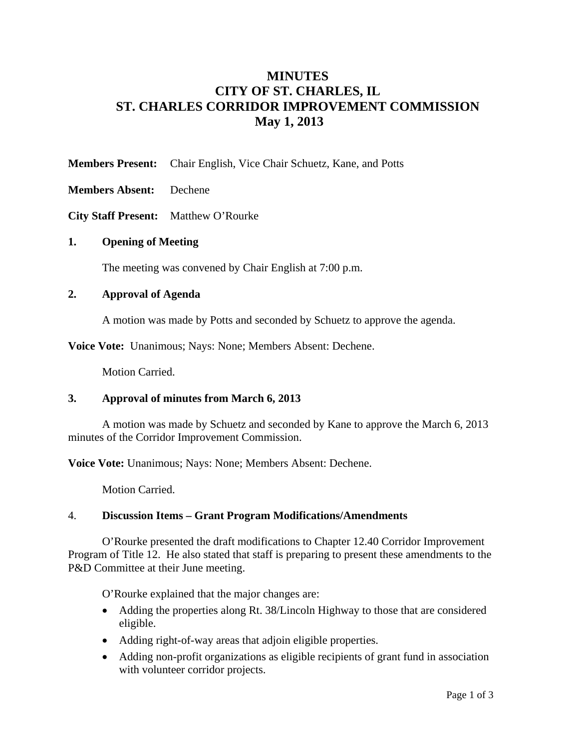# **MINUTES CITY OF ST. CHARLES, IL ST. CHARLES CORRIDOR IMPROVEMENT COMMISSION May 1, 2013**

**Members Present:** Chair English, Vice Chair Schuetz, Kane, and Potts

**Members Absent:** Dechene

**City Staff Present:** Matthew O'Rourke

#### **1. Opening of Meeting**

The meeting was convened by Chair English at 7:00 p.m.

#### **2. Approval of Agenda**

A motion was made by Potts and seconded by Schuetz to approve the agenda.

**Voice Vote:** Unanimous; Nays: None; Members Absent: Dechene.

Motion Carried.

#### **3. Approval of minutes from March 6, 2013**

 A motion was made by Schuetz and seconded by Kane to approve the March 6, 2013 minutes of the Corridor Improvement Commission.

**Voice Vote:** Unanimous; Nays: None; Members Absent: Dechene.

Motion Carried.

#### 4. **Discussion Items – Grant Program Modifications/Amendments**

O'Rourke presented the draft modifications to Chapter 12.40 Corridor Improvement Program of Title 12. He also stated that staff is preparing to present these amendments to the P&D Committee at their June meeting.

O'Rourke explained that the major changes are:

- Adding the properties along Rt. 38/Lincoln Highway to those that are considered eligible.
- Adding right-of-way areas that adjoin eligible properties.
- Adding non-profit organizations as eligible recipients of grant fund in association with volunteer corridor projects.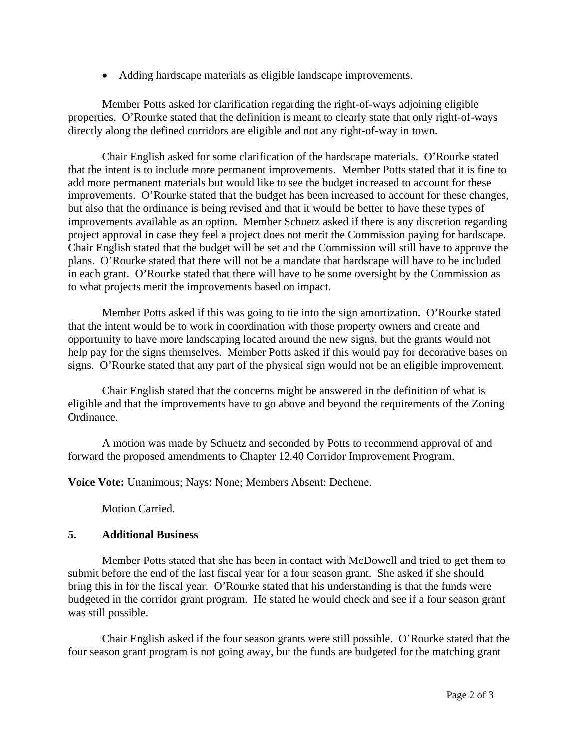• Adding hardscape materials as eligible landscape improvements.

Member Potts asked for clarification regarding the right-of-ways adjoining eligible properties. O'Rourke stated that the definition is meant to clearly state that only right-of-ways directly along the defined corridors are eligible and not any right-of-way in town.

Chair English asked for some clarification of the hardscape materials. O'Rourke stated that the intent is to include more permanent improvements. Member Potts stated that it is fine to add more permanent materials but would like to see the budget increased to account for these improvements. O'Rourke stated that the budget has been increased to account for these changes, but also that the ordinance is being revised and that it would be better to have these types of improvements available as an option. Member Schuetz asked if there is any discretion regarding project approval in case they feel a project does not merit the Commission paying for hardscape. Chair English stated that the budget will be set and the Commission will still have to approve the plans. O'Rourke stated that there will not be a mandate that hardscape will have to be included in each grant. O'Rourke stated that there will have to be some oversight by the Commission as to what projects merit the improvements based on impact.

Member Potts asked if this was going to tie into the sign amortization. O'Rourke stated that the intent would be to work in coordination with those property owners and create and opportunity to have more landscaping located around the new signs, but the grants would not help pay for the signs themselves. Member Potts asked if this would pay for decorative bases on signs. O'Rourke stated that any part of the physical sign would not be an eligible improvement.

Chair English stated that the concerns might be answered in the definition of what is eligible and that the improvements have to go above and beyond the requirements of the Zoning Ordinance.

A motion was made by Schuetz and seconded by Potts to recommend approval of and forward the proposed amendments to Chapter 12.40 Corridor Improvement Program.

**Voice Vote:** Unanimous; Nays: None; Members Absent: Dechene.

Motion Carried.

## **5. Additional Business**

Member Potts stated that she has been in contact with McDowell and tried to get them to submit before the end of the last fiscal year for a four season grant. She asked if she should bring this in for the fiscal year. O'Rourke stated that his understanding is that the funds were budgeted in the corridor grant program. He stated he would check and see if a four season grant was still possible.

Chair English asked if the four season grants were still possible. O'Rourke stated that the four season grant program is not going away, but the funds are budgeted for the matching grant